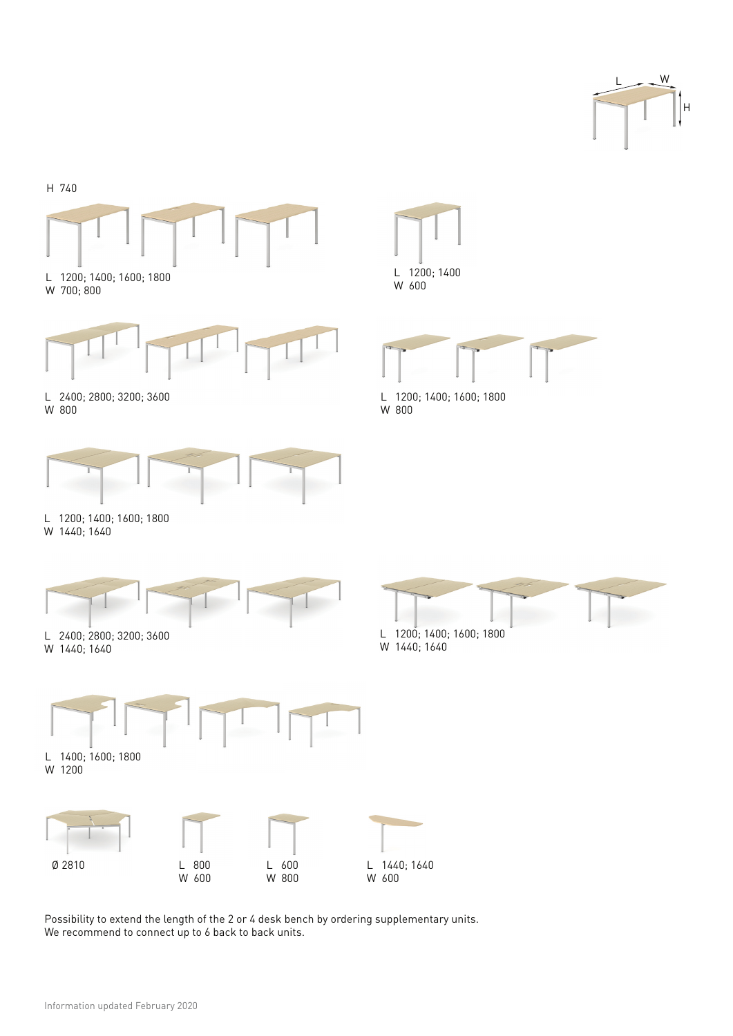



Possibility to extend the length of the 2 or 4 desk bench by ordering supplementary units. We recommend to connect up to 6 back to back units.